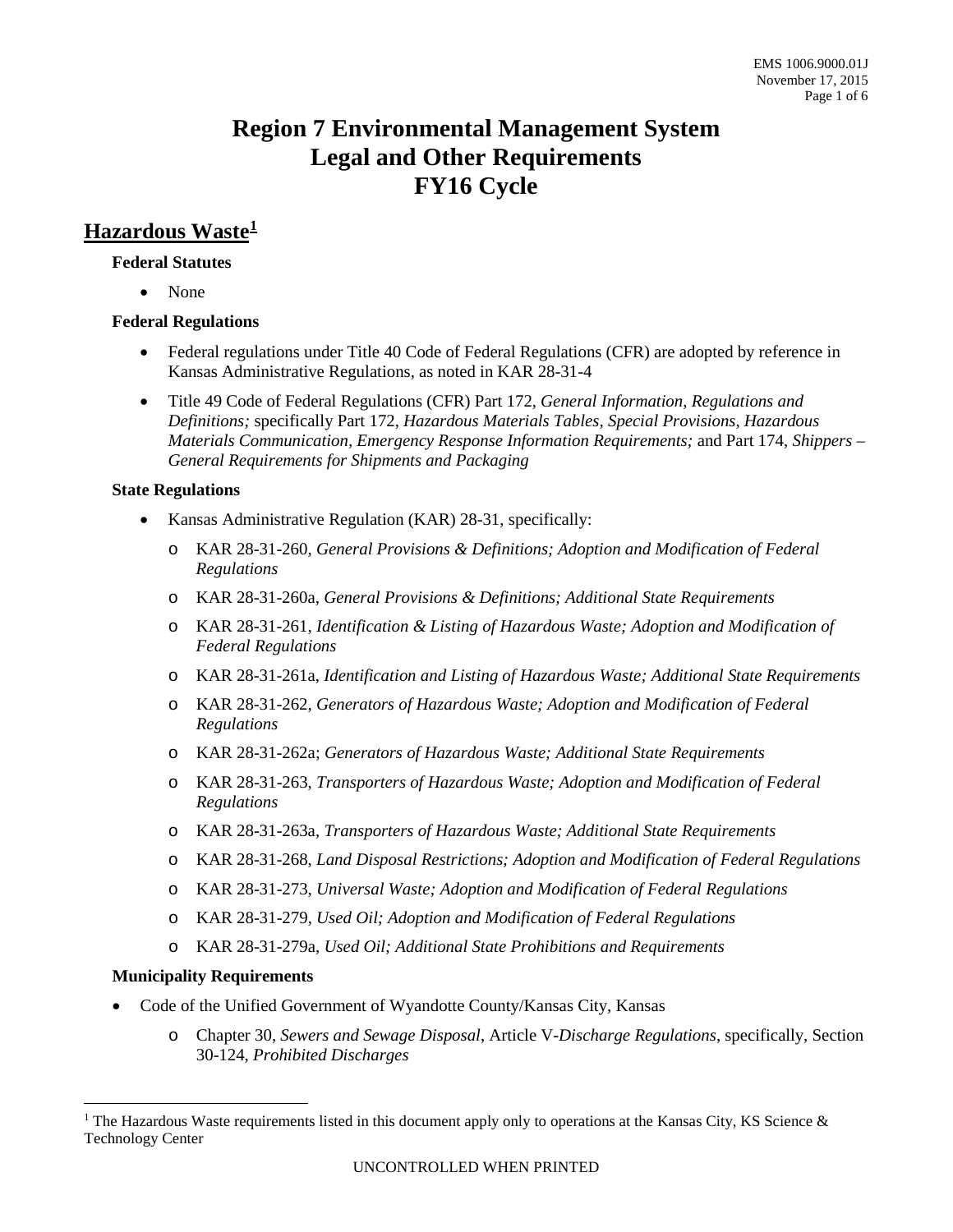# **Region 7 Environmental Management System Legal and Other Requirements FY16 Cycle**

## **Hazardous Waste[1](#page-0-0)**

#### **Federal Statutes**

• None

#### **Federal Regulations**

- Federal regulations under Title 40 Code of Federal Regulations (CFR) are adopted by reference in Kansas Administrative Regulations, as noted in KAR 28-31-4
- Title 49 Code of Federal Regulations (CFR) Part 172, *General Information, Regulations and Definitions;* specifically Part 172, *Hazardous Materials Tables, Special Provisions, Hazardous Materials Communication, Emergency Response Information Requirements;* and Part 174, *Shippers – General Requirements for Shipments and Packaging*

#### **State Regulations**

- Kansas Administrative Regulation (KAR) 28-31, specifically:
	- o KAR 28-31-260, *General Provisions & Definitions; Adoption and Modification of Federal Regulations*
	- o KAR 28-31-260a, *General Provisions & Definitions; Additional State Requirements*
	- o KAR 28-31-261, *Identification & Listing of Hazardous Waste; Adoption and Modification of Federal Regulations*
	- o KAR 28-31-261a, *Identification and Listing of Hazardous Waste; Additional State Requirements*
	- o KAR 28-31-262, *Generators of Hazardous Waste; Adoption and Modification of Federal Regulations*
	- o KAR 28-31-262a; *Generators of Hazardous Waste; Additional State Requirements*
	- o KAR 28-31-263, *Transporters of Hazardous Waste; Adoption and Modification of Federal Regulations*
	- o KAR 28-31-263a, *Transporters of Hazardous Waste; Additional State Requirements*
	- o KAR 28-31-268, *Land Disposal Restrictions; Adoption and Modification of Federal Regulations*
	- o KAR 28-31-273, *Universal Waste; Adoption and Modification of Federal Regulations*
	- o KAR 28-31-279, *Used Oil; Adoption and Modification of Federal Regulations*
	- o KAR 28-31-279a, *Used Oil; Additional State Prohibitions and Requirements*

### **Municipality Requirements**

- Code of the Unified Government of Wyandotte County/Kansas City, Kansas
	- o Chapter 30, *Sewers and Sewage Disposal*, Article V*-Discharge Regulations*, specifically, Section 30-124, *Prohibited Discharges*

<span id="page-0-0"></span><sup>&</sup>lt;sup>1</sup> The Hazardous Waste requirements listed in this document apply only to operations at the Kansas City, KS Science  $\&$ Technology Center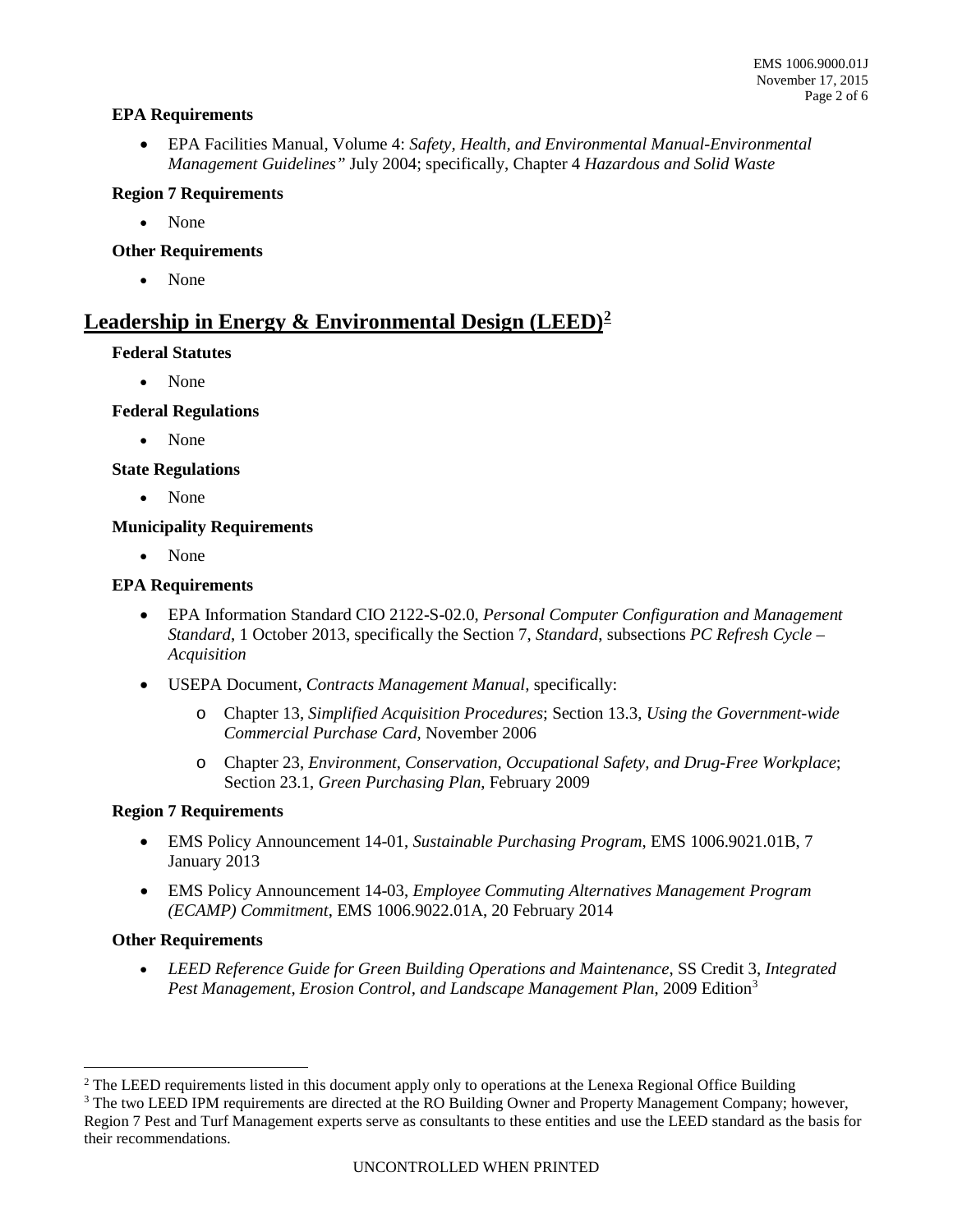#### **EPA Requirements**

• EPA Facilities Manual, Volume 4: *Safety, Health, and Environmental Manual-Environmental Management Guidelines"* July 2004; specifically, Chapter 4 *Hazardous and Solid Waste*

#### **Region 7 Requirements**

• None

#### **Other Requirements**

• None

## **Leadership in Energy & Environmental Design (LEED)[2](#page-1-0)**

#### **Federal Statutes**

• None

#### **Federal Regulations**

• None

#### **State Regulations**

• None

#### **Municipality Requirements**

• None

#### **EPA Requirements**

- EPA Information Standard CIO 2122-S-02.0, *Personal Computer Configuration and Management Standard*, 1 October 2013, specifically the Section 7, *Standard*, subsections *PC Refresh Cycle – Acquisition*
- USEPA Document, *Contracts Management Manual,* specifically:
	- o Chapter 13, *Simplified Acquisition Procedures*; Section 13.3, *Using the Government-wide Commercial Purchase Card,* November 2006
	- o Chapter 23, *Environment, Conservation, Occupational Safety, and Drug-Free Workplace*; Section 23.1, *Green Purchasing Plan*, February 2009

#### **Region 7 Requirements**

- EMS Policy Announcement 14-01, *Sustainable Purchasing Program*, EMS 1006.9021.01B, 7 January 2013
- EMS Policy Announcement 14-03, *Employee Commuting Alternatives Management Program (ECAMP) Commitment*, EMS 1006.9022.01A, 20 February 2014

#### **Other Requirements**

• *LEED Reference Guide for Green Building Operations and Maintenance*, SS Credit 3, *Integrated Pest Management, Erosion Control, and Landscape Management Plan*, 2009 Edition[3](#page-1-1)

<span id="page-1-0"></span><sup>&</sup>lt;sup>2</sup> The LEED requirements listed in this document apply only to operations at the Lenexa Regional Office Building

<span id="page-1-1"></span><sup>&</sup>lt;sup>3</sup> The two LEED IPM requirements are directed at the RO Building Owner and Property Management Company; however, Region 7 Pest and Turf Management experts serve as consultants to these entities and use the LEED standard as the basis for their recommendations.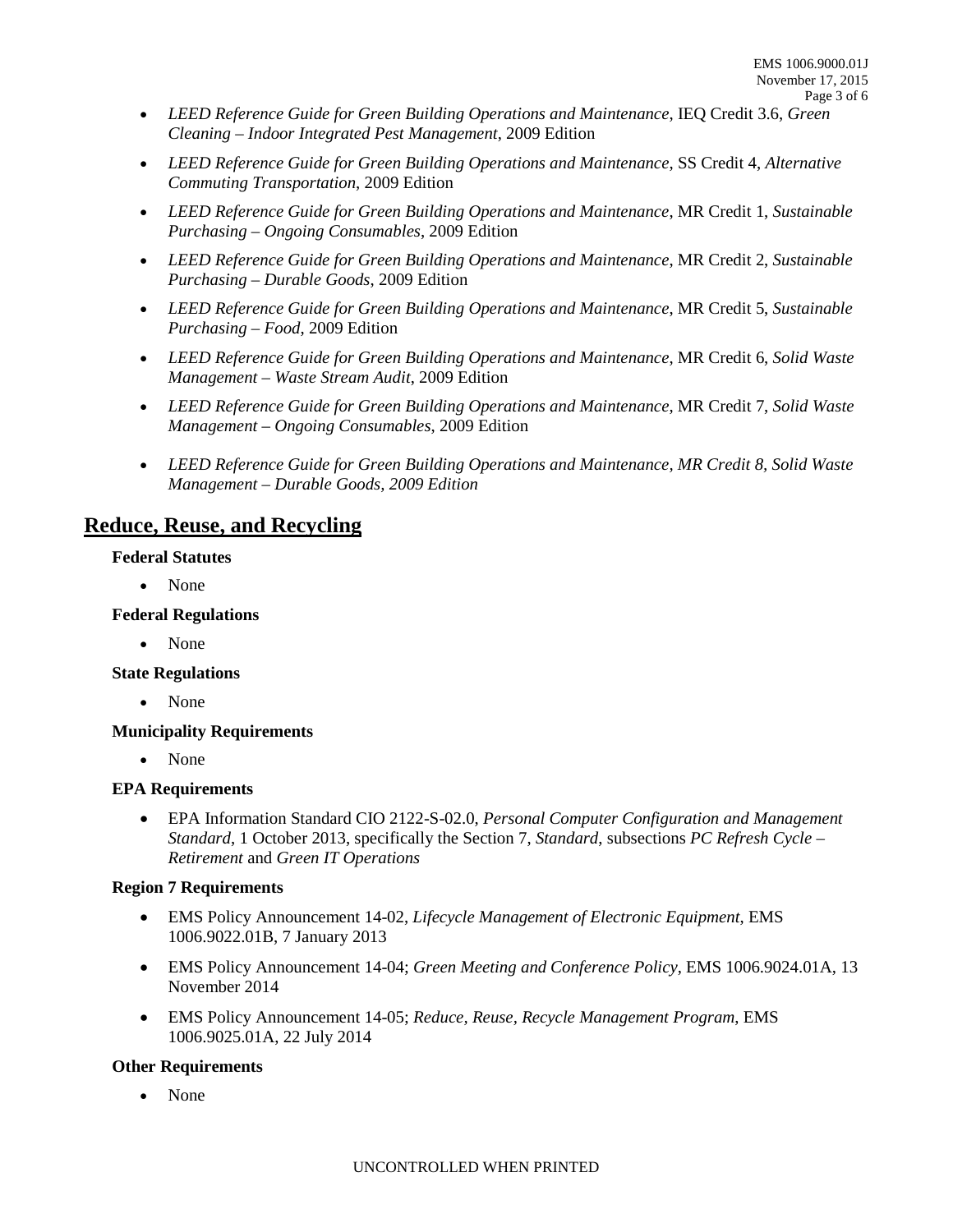- *LEED Reference Guide for Green Building Operations and Maintenance*, IEQ Credit 3.6, *Green Cleaning – Indoor Integrated Pest Management*, 2009 Edition
- *LEED Reference Guide for Green Building Operations and Maintenance*, SS Credit 4, *Alternative Commuting Transportation*, 2009 Edition
- *LEED Reference Guide for Green Building Operations and Maintenance*, MR Credit 1, *Sustainable Purchasing – Ongoing Consumables*, 2009 Edition
- *LEED Reference Guide for Green Building Operations and Maintenance*, MR Credit 2, *Sustainable Purchasing – Durable Goods*, 2009 Edition
- *LEED Reference Guide for Green Building Operations and Maintenance*, MR Credit 5, *Sustainable Purchasing – Food*, 2009 Edition
- *LEED Reference Guide for Green Building Operations and Maintenance*, MR Credit 6, *Solid Waste Management – Waste Stream Audit*, 2009 Edition
- *LEED Reference Guide for Green Building Operations and Maintenance*, MR Credit 7, *Solid Waste Management – Ongoing Consumables*, 2009 Edition
- *LEED Reference Guide for Green Building Operations and Maintenance, MR Credit 8, Solid Waste Management – Durable Goods, 2009 Edition*

## **Reduce, Reuse, and Recycling**

#### **Federal Statutes**

• None

#### **Federal Regulations**

• None

#### **State Regulations**

• None

#### **Municipality Requirements**

• None

#### **EPA Requirements**

• EPA Information Standard CIO 2122-S-02.0, *Personal Computer Configuration and Management Standard*, 1 October 2013, specifically the Section 7, *Standard*, subsections *PC Refresh Cycle – Retirement* and *Green IT Operations*

#### **Region 7 Requirements**

- EMS Policy Announcement 14-02, *Lifecycle Management of Electronic Equipment*, EMS 1006.9022.01B, 7 January 2013
- EMS Policy Announcement 14-04; *Green Meeting and Conference Policy*, EMS 1006.9024.01A, 13 November 2014
- EMS Policy Announcement 14-05; *Reduce, Reuse, Recycle Management Program*, EMS 1006.9025.01A, 22 July 2014

#### **Other Requirements**

• None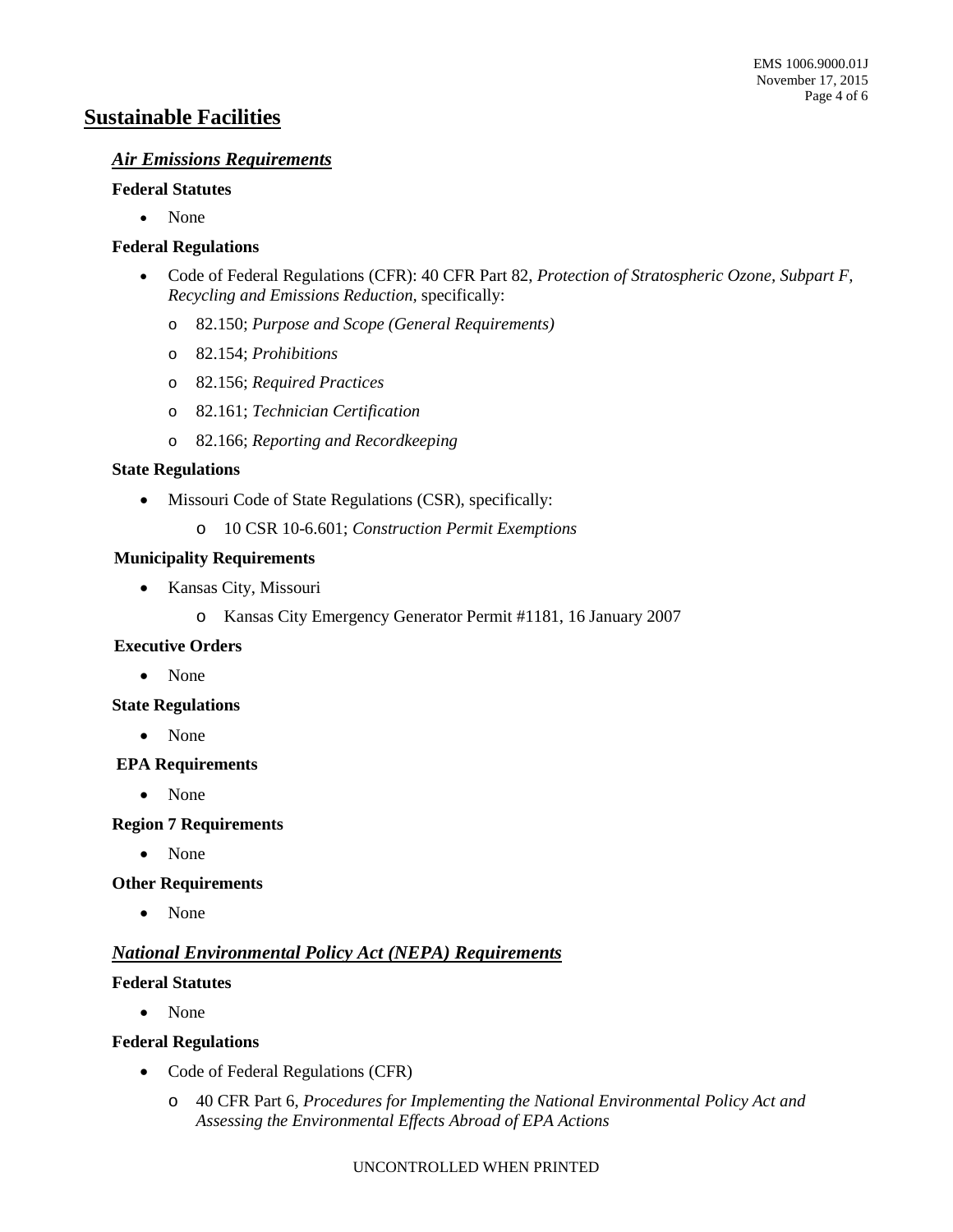## **Sustainable Facilities**

#### *Air Emissions Requirements*

#### **Federal Statutes**

• None

#### **Federal Regulations**

- Code of Federal Regulations (CFR): 40 CFR Part 82, *Protection of Stratospheric Ozone, Subpart F, Recycling and Emissions Reduction,* specifically:
	- o 82.150; *Purpose and Scope (General Requirements)*
	- o 82.154; *Prohibitions*
	- o 82.156; *Required Practices*
	- o 82.161; *Technician Certification*
	- o 82.166; *Reporting and Recordkeeping*

#### **State Regulations**

- Missouri Code of State Regulations (CSR), specifically:
	- o 10 CSR 10-6.601; *Construction Permit Exemptions*

#### **Municipality Requirements**

- Kansas City, Missouri
	- o Kansas City Emergency Generator Permit #1181, 16 January 2007

#### **Executive Orders**

• None

#### **State Regulations**

• None

#### **EPA Requirements**

• None

#### **Region 7 Requirements**

• None

#### **Other Requirements**

• None

### *National Environmental Policy Act (NEPA) Requirements*

#### **Federal Statutes**

• None

#### **Federal Regulations**

- Code of Federal Regulations (CFR)
	- o 40 CFR Part 6, *Procedures for Implementing the National Environmental Policy Act and Assessing the Environmental Effects Abroad of EPA Actions*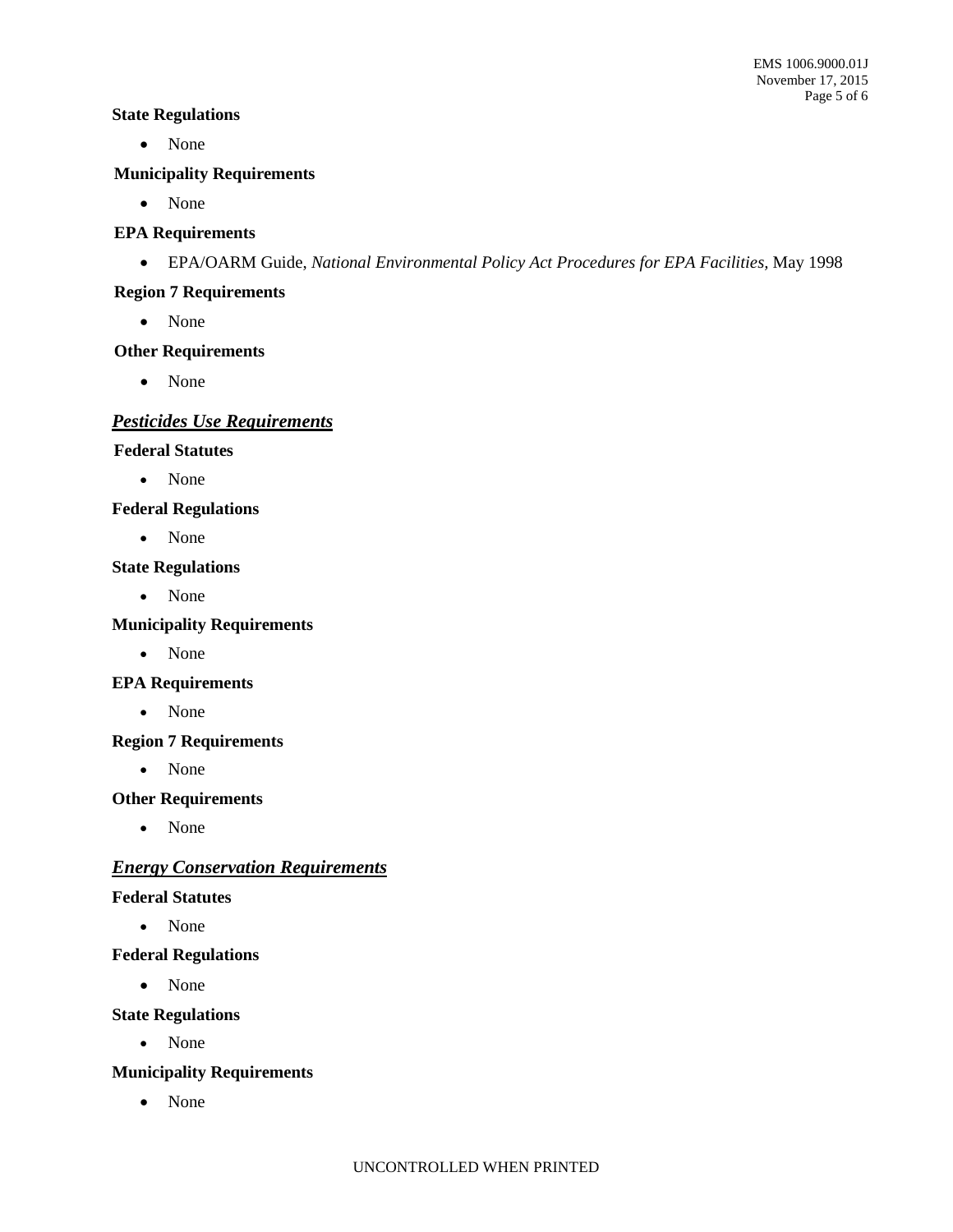#### **State Regulations**

• None

#### **Municipality Requirements**

• None

#### **EPA Requirements**

• EPA/OARM Guide, *National Environmental Policy Act Procedures for EPA Facilities,* May 1998

#### **Region 7 Requirements**

• None

### **Other Requirements**

• None

## *Pesticides Use Requirements*

#### **Federal Statutes**

• None

#### **Federal Regulations**

• None

#### **State Regulations**

• None

#### **Municipality Requirements**

• None

#### **EPA Requirements**

• None

#### **Region 7 Requirements**

• None

#### **Other Requirements**

• None

### *Energy Conservation Requirements*

#### **Federal Statutes**

• None

#### **Federal Regulations**

• None

#### **State Regulations**

• None

#### **Municipality Requirements**

• None